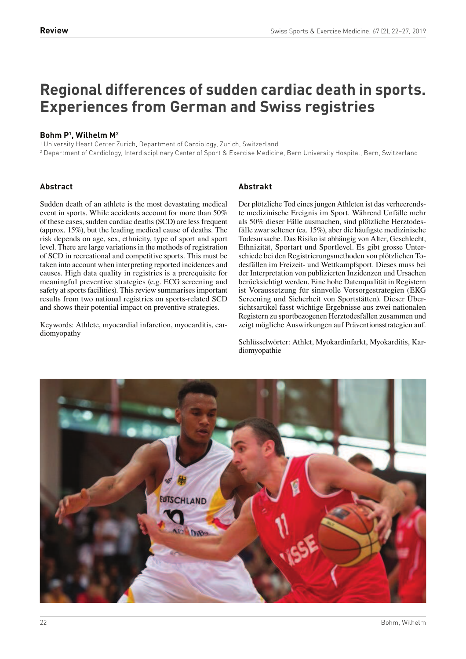# **Regional differences of sudden cardiac death in sports. Experiences from German and Swiss registries**

# **Bohm P<sup>1</sup> , Wilhelm M<sup>2</sup>**

1 University Heart Center Zurich, Department of Cardiology, Zurich, Switzerland

2 Department of Cardiology, Interdisciplinary Center of Sport & Exercise Medicine, Bern University Hospital, Bern, Switzerland

# **Abstract**

Sudden death of an athlete is the most devastating medical event in sports. While accidents account for more than 50% of these cases, sudden cardiac deaths (SCD) are less frequent (approx. 15%), but the leading medical cause of deaths. The risk depends on age, sex, ethnicity, type of sport and sport level. There are large variations in the methods of registration of SCD in recreational and competitive sports. This must be taken into account when interpreting reported incidences and causes. High data quality in registries is a prerequisite for meaningful preventive strategies (e.g. ECG screening and safety at sports facilities). This review summarises important results from two national registries on sports-related SCD and shows their potential impact on preventive strategies.

Keywords: Athlete, myocardial infarction, myocarditis, cardiomyopathy

# **Abstrakt**

Der plötzliche Tod eines jungen Athleten ist das verheerendste medizinische Ereignis im Sport. Während Unfälle mehr als 50% dieser Fälle ausmachen, sind plötzliche Herztodesfälle zwar seltener (ca. 15%), aber die häufigste medizinische Todesursache. Das Risiko ist abhängig von Alter, Geschlecht, Ethnizität, Sportart und Sportlevel. Es gibt grosse Unterschiede bei den Registrierungsmethoden von plötzlichen Todesfällen im Freizeit- und Wettkampfsport. Dieses muss bei der Interpretation von publizierten Inzidenzen und Ursachen berücksichtigt werden. Eine hohe Datenqualität in Registern ist Voraussetzung für sinnvolle Vorsorgestrategien (EKG Screening und Sicherheit von Sportstätten). Dieser Übersichtsartikel fasst wichtige Ergebnisse aus zwei nationalen Registern zu sportbezogenen Herztodesfällen zusammen und zeigt mögliche Auswirkungen auf Präventionsstrategien auf.

Schlüsselwörter: Athlet, Myokardinfarkt, Myokarditis, Kardiomyopathie

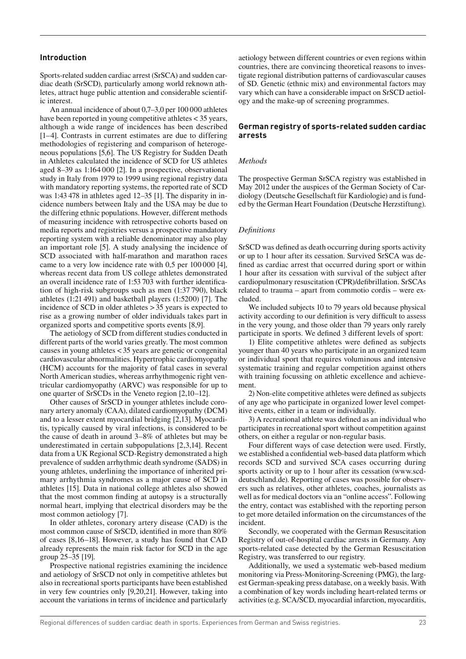## **Introduction**

Sports-related sudden cardiac arrest (SrSCA) and sudden cardiac death (SrSCD), particularly among world reknown athletes, attract huge public attention and considerable scientific interest.

An annual incidence of about 0,7–3,0 per 100 000 athletes have been reported in young competitive athletes  $<$  35 years, although a wide range of incidences has been described [1–4]. Contrasts in current estimates are due to differing methodologies of registering and comparison of heterogeneous populations [5,6]. The US Registry for Sudden Death in Athletes calculated the incidence of SCD for US athletes aged 8–39 as 1:164 000 [2]. In a prospective, observational study in Italy from 1979 to 1999 using regional registry data with mandatory reporting systems, the reported rate of SCD was 1:43 478 in athletes aged 12–35 [1]. The disparity in incidence numbers between Italy and the USA may be due to the differing ethnic populations. However, different methods of measuring incidence with retrospective cohorts based on media reports and registries versus a prospective mandatory reporting system with a reliable denominator may also play an important role [5]. A study analysing the incidence of SCD associated with half-marathon and marathon races came to a very low incidence rate with 0,5 per 100 000 [4], whereas recent data from US college athletes demonstrated an overall incidence rate of 1:53 703 with further identication of high-risk subgroups such as men (1:37 790), black athletes (1:21 491) and basketball players (1:5200) [7]. The incidence of SCD in older athletes > 35 years is expected to rise as a growing number of older individuals takes part in organized sports and competitive sports events [8,9].

The aetiology of SCD from different studies conducted in different parts of the world varies greatly. The most common causes in young athletes < 35 years are genetic or congenital cardiovascular abnormalities. Hypertrophic cardiomyopathy (HCM) accounts for the majority of fatal cases in several North American studies, whereas arrhythmogenic right ventricular cardiomyopathy (ARVC) was responsible for up to one quarter of SrSCDs in the Veneto region [2,10–12].

Other causes of SrSCD in younger athletes include coronary artery anomaly (CAA), dilated cardiomyopathy (DCM) and to a lesser extent myocardial bridging [2,13]. Myocarditis, typically caused by viral infections, is considered to be the cause of death in around 3–8% of athletes but may be underestimated in certain subpopulations [2,3,14]. Recent data from a UK Regional SCD-Registry demonstrated a high prevalence of sudden arrhythmic death syndrome (SADS) in young athletes, underlining the importance of inherited primary arrhythmia syndromes as a major cause of SCD in athletes [15]. Data in national college athletes also showed that the most common finding at autopsy is a structurally normal heart, implying that electrical disorders may be the most common aetiology [7].

In older athletes, coronary artery disease (CAD) is the most common cause of SrSCD, identified in more than 80% of cases [8,16–18]. However, a study has found that CAD already represents the main risk factor for SCD in the age group 25–35 [19].

Prospective national registries examining the incidence and aetiology of SrSCD not only in competitive athletes but also in recreational sports participants have been established in very few countries only [9,20,21]. However, taking into account the variations in terms of incidence and particularly aetiology between different countries or even regions within countries, there are convincing theoretical reasons to investigate regional distribution patterns of cardiovascular causes of SD. Genetic (ethnic mix) and environmental factors may vary which can have a considerable impact on SrSCD aetiology and the make-up of screening programmes.

#### **German registry of sports-related sudden cardiac arrests**

#### *Methods*

The prospective German SrSCA registry was established in May 2012 under the auspices of the German Society of Cardiology (Deutsche Gesellschaft für Kardiologie) and is funded by the German Heart Foundation (Deutsche Herzstiftung).

#### *De nitions*

SrSCD was defined as death occurring during sports activity or up to 1 hour after its cessation. Survived SrSCA was de fined as cardiac arrest that occurred during sport or within 1 hour after its cessation with survival of the subject after cardiopulmonary resuscitation (CPR)/defibrillation. SrSCAs related to trauma – apart from commotio cordis – were excluded.

We included subjects 10 to 79 years old because physical activity according to our definition is very difficult to assess in the very young, and those older than 79 years only rarely participate in sports. We defined 3 different levels of sport:

1) Elite competitive athletes were defined as subjects younger than 40 years who participate in an organized team or individual sport that requires voluminous and intensive systematic training and regular competition against others with training focussing on athletic excellence and achievement.

2) Non-elite competitive athletes were defined as subjects of any age who participate in organized lower level competitive events, either in a team or individually.

3) A recreational athlete was defined as an individual who participates in recreational sport without competition against others, on either a regular or non-regular basis.

Four different ways of case detection were used. Firstly, we established a confidential web-based data platform which records SCD and survived SCA cases occurring during sports activity or up to 1 hour after its cessation (www.scddeutschland.de). Reporting of cases was possible for observers such as relatives, other athletes, coaches, journalists as well as for medical doctors via an "online access". Following the entry, contact was established with the reporting person to get more detailed information on the circumstances of the incident.

Secondly, we cooperated with the German Resuscitation Registry of out-of-hospital cardiac arrests in Germany. Any sports-related case detected by the German Resuscitation Registry, was transferred to our registry.

Additionally, we used a systematic web-based medium monitoring via Press-Monitoring-Screening (PMG), the largest German-speaking press database, on a weekly basis. With a combination of key words including heart-related terms or activities (e.g. SCA/SCD, myocardial infarction, myocarditis,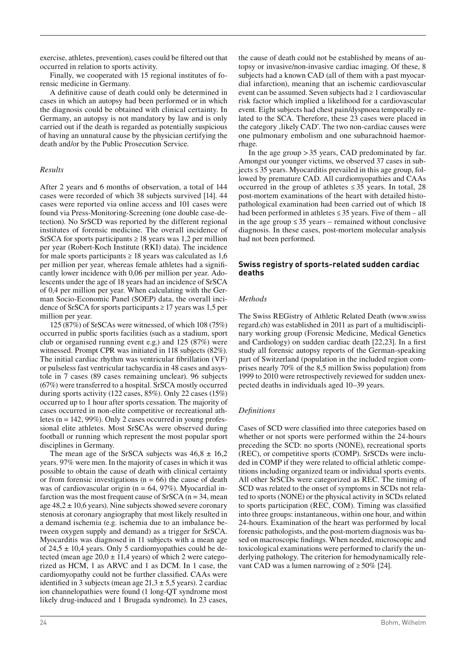exercise, athletes, prevention), cases could be filtered out that occurred in relation to sports activity.

Finally, we cooperated with 15 regional institutes of forensic medicine in Germany.

A definitive cause of death could only be determined in cases in which an autopsy had been performed or in which the diagnosis could be obtained with clinical certainty. In Germany, an autopsy is not mandatory by law and is only carried out if the death is regarded as potentially suspicious of having an unnatural cause by the physician certifying the death and/or by the Public Prosecution Service.

## *Results*

After 2 years and 6 months of observation, a total of 144 cases were recorded of which 38 subjects survived [14]. 44 cases were reported via online access and 101 cases were found via Press-Monitoring-Screening (one double case-detection). No SrSCD was reported by the different regional institutes of forensic medicine. The overall incidence of SrSCA for sports participants  $\geq$  18 years was 1,2 per million per year (Robert-Koch Institute (RKI) data). The incidence for male sports participants  $\geq 18$  years was calculated as 1,6 per million per year, whereas female athletes had a signi cantly lower incidence with 0,06 per million per year. Adolescents under the age of 18 years had an incidence of SrSCA of 0,4 per million per year. When calculating with the German Socio-Economic Panel (SOEP) data, the overall incidence of SrSCA for sports participants  $\geq$  17 years was 1,5 per million per year.

125 (87%) of SrSCAs were witnessed, of which 108 (75%) occurred in public sports facilities (such as a stadium, sport club or organised running event e.g.) and 125 (87%) were witnessed. Prompt CPR was initiated in 118 subjects (82%). The initial cardiac rhythm was ventricular fibrillation  $(VF)$ or pulseless fast ventricular tachycardia in 48 cases and asystole in 7 cases (89 cases remaining unclear). 96 subjects (67%) were transferred to a hospital. SrSCA mostly occurred during sports activity (122 cases, 85%). Only 22 cases (15%) occurred up to 1 hour after sports cessation. The majority of cases occurred in non-elite competitive or recreational athletes ( $n = 142, 99\%$ ). Only 2 cases occurred in young professional elite athletes. Most SrSCAs were observed during football or running which represent the most popular sport disciplines in Germany.

The mean age of the SrSCA subjects was  $46,8 \pm 16,2$ years. 97% were men. In the majority of cases in which it was possible to obtain the cause of death with clinical certainty or from forensic investigations ( $n = 66$ ) the cause of death was of cardiovascular origin (n = 64, 97%). Myocardial infarction was the most frequent cause of SrSCA  $(n = 34, \text{mean})$ age  $48.2 \pm 10.6$  years). Nine subjects showed severe coronary stenosis at coronary angiography that most likely resulted in a demand ischemia (e.g. ischemia due to an imbalance between oxygen supply and demand) as a trigger for SrSCA. Myocarditis was diagnosed in 11 subjects with a mean age of  $24.5 \pm 10.4$  years. Only 5 cardiomyopathies could be detected (mean age  $20.0 \pm 11.4$  years) of which 2 were categorized as HCM, 1 as ARVC and 1 as DCM. In 1 case, the cardiomyopathy could not be further classified. CAAs were identified in 3 subjects (mean age  $21,3 \pm 5,5$  years). 2 cardiac ion channelopathies were found (1 long-QT syndrome most likely drug-induced and 1 Brugada syndrome). In 23 cases,

the cause of death could not be established by means of autopsy or invasive/non-invasive cardiac imaging. Of these, 8 subjects had a known CAD (all of them with a past myocardial infarction), meaning that an ischemic cardiovascular event can be assumed. Seven subjects had ≥ 1 cardiovascular risk factor which implied a likelihood for a cardiovascular event. Eight subjects had chest pain/dyspnoea temporally related to the SCA. Therefore, these 23 cases were placed in the category , likely CAD'. The two non-cardiac causes were one pulmonary embolism and one subarachnoid haemorrhage.

In the age group > 35 years, CAD predominated by far. Amongst our younger victims, we observed 37 cases in subjects ≤ 35 years. Myocarditis prevailed in this age group, followed by premature CAD. All cardiomyopathies and CAAs occurred in the group of athletes  $\leq 35$  years. In total, 28 post-mortem examinations of the heart with detailed histopathological examination had been carried out of which 18 had been performed in athletes ≤ 35 years. Five of them – all in the age group  $\leq 35$  years – remained without conclusive diagnosis. In these cases, post-mortem molecular analysis had not been performed.

## **Swiss registry of sports-related sudden cardiac deaths**

## *Methods*

The Swiss REGistry of Athletic Related Death (www.swiss regard.ch) was established in 2011 as part of a multidisciplinary working group (Forensic Medicine, Medical Genetics and Cardiology) on sudden cardiac death  $[22,23]$ . In a first study all forensic autopsy reports of the German-speaking part of Switzerland (population in the included region comprises nearly 70% of the 8,5 million Swiss population) from 1999 to 2010 were retrospectively reviewed for sudden unexpected deaths in individuals aged 10–39 years.

## *De nitions*

Cases of SCD were classified into three categories based on whether or not sports were performed within the 24-hours preceding the SCD: no sports (NONE), recreational sports (REC), or competitive sports (COMP). SrSCDs were included in COMP if they were related to official athletic competitions including organized team or individual sports events. All other SrSCDs were categorized as REC. The timing of SCD was related to the onset of symptoms in SCDs not related to sports (NONE) or the physical activity in SCDs related to sports participation (REC, COM). Timing was classified into three groups: instantaneous, within one hour, and within 24-hours. Examination of the heart was performed by local forensic pathologists, and the post-mortem diagnosis was based on macroscopic findings. When needed, microscopic and toxicological examinations were performed to clarify the underlying pathology. The criterion for hemodynamically relevant CAD was a lumen narrowing of  $\geq 50\%$  [24].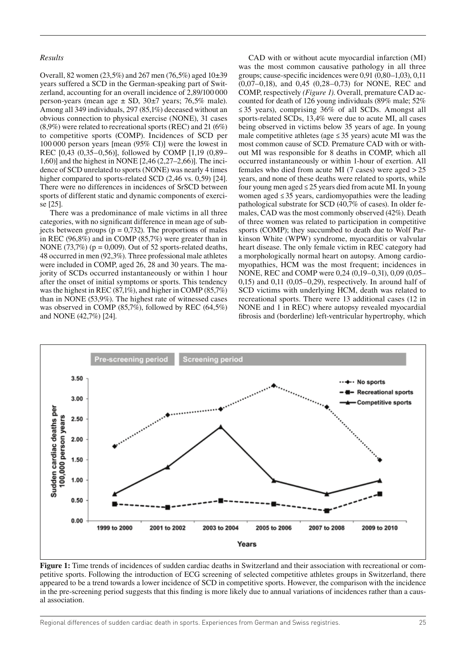## *Results*

Overall, 82 women (23,5%) and 267 men (76,5%) aged 10±39 years suffered a SCD in the German-speaking part of Switzerland, accounting for an overall incidence of 2,89/100 000 person-years (mean age ± SD, 30±7 years; 76,5% male). Among all 349 individuals, 297 (85,1%) deceased without an obvious connection to physical exercise (NONE), 31 cases (8,9%) were related to recreational sports (REC) and 21 (6%) to competitive sports (COMP). Incidences of SCD per 100 000 person years [mean (95% CI)] were the lowest in REC [0,43 (0,35–0,56)], followed by COMP [1,19 (0,89– 1,60)] and the highest in NONE [2,46 (2,27–2,66)]. The incidence of SCD unrelated to sports (NONE) was nearly 4 times higher compared to sports-related SCD (2,46 vs. 0,59) [24]. There were no differences in incidences of SrSCD between sports of different static and dynamic components of exercise [25].

There was a predominance of male victims in all three categories, with no significant difference in mean age of subjects between groups ( $p = 0.732$ ). The proportions of males in REC (96,8%) and in COMP (85,7%) were greater than in NONE (73,7%) ( $p = 0,009$ ). Out of 52 sports-related deaths, 48 occurred in men (92,3%). Three professional male athletes were included in COMP, aged 26, 28 and 30 years. The majority of SCDs occurred instantaneously or within 1 hour after the onset of initial symptoms or sports. This tendency was the highest in REC (87,1%), and higher in COMP (85,7%) than in NONE (53,9%). The highest rate of witnessed cases was observed in COMP (85,7%), followed by REC (64,5%) and NONE (42,7%) [24].

CAD with or without acute myocardial infarction (MI) was the most common causative pathology in all three groups; cause-specific incidences were  $0.91\ (0.80-1.03)$ ,  $0.11$ (0,07–0,18), and 0,45 (0,28–0,73) for NONE, REC and COMP, respectively *(Figure 1)*. Overall, premature CAD accounted for death of 126 young individuals (89% male; 52% ≤ 35 years), comprising 36% of all SCDs. Amongst all sports-related SCDs, 13,4% were due to acute MI, all cases being observed in victims below 35 years of age. In young male competitive athletes (age  $\leq$  35 years) acute MI was the most common cause of SCD. Premature CAD with or without MI was responsible for 8 deaths in COMP, which all occurred instantaneously or within 1-hour of exertion. All females who died from acute MI (7 cases) were aged  $>25$ years, and none of these deaths were related to sports, while four young men aged ≤ 25 years died from acute MI. In young women aged ≤ 35 years, cardiomyopathies were the leading pathological substrate for SCD (40,7% of cases). In older females, CAD was the most commonly observed (42%). Death of three women was related to participation in competitive sports (COMP); they succumbed to death due to Wolf Parkinson White (WPW) syndrome, myocarditis or valvular heart disease. The only female victim in REC category had a morphologically normal heart on autopsy. Among cardiomyopathies, HCM was the most frequent; incidences in NONE, REC and COMP were 0,24 (0,19–0,31), 0,09 (0,05– 0,15) and 0,11 (0,05–0,29), respectively. In around half of SCD victims with underlying HCM, death was related to recreational sports. There were 13 additional cases (12 in NONE and 1 in REC) where autopsy revealed myocardial brosis and (borderline) left-ventricular hypertrophy, which



**Figure 1:** Time trends of incidences of sudden cardiac deaths in Switzerland and their association with recreational or competitive sports. Following the introduction of ECG screening of selected competitive athletes groups in Switzerland, there appeared to be a trend towards a lower incidence of SCD in competitive sports. However, the comparison with the incidence in the pre-screening period suggests that this finding is more likely due to annual variations of incidences rather than a causal association.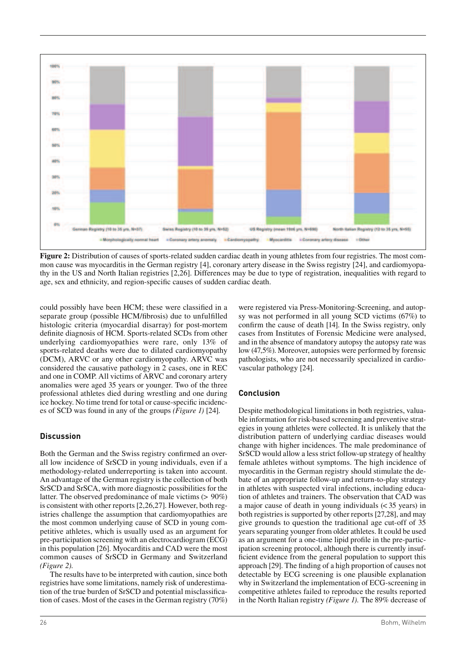

**Figure 2:** Distribution of causes of sports-related sudden cardiac death in young athletes from four registries. The most common cause was myocarditis in the German registry [4], coronary artery disease in the Swiss registry [24], and cardiomyopathy in the US and North Italian registries [2,26]. Differences may be due to type of registration, inequalities with regard to age, sex and ethnicity, and region-specific causes of sudden cardiac death.

could possibly have been HCM; these were classified in a separate group (possible HCM/fibrosis) due to unfulfilled histologic criteria (myocardial disarray) for post-mortem definite diagnosis of HCM. Sports-related SCDs from other underlying cardiomyopathies were rare, only 13% of sports-related deaths were due to dilated cardiomyopathy (DCM), ARVC or any other cardiomyopathy. ARVC was considered the causative pathology in 2 cases, one in REC and one in COMP. All victims of ARVC and coronary artery anomalies were aged 35 years or younger. Two of the three professional athletes died during wrestling and one during ice hockey. No time trend for total or cause-specific incidences of SCD was found in any of the groups *(Figure 1)* [24].

# **Discussion**

Both the German and the Swiss registry confirmed an overall low incidence of SrSCD in young individuals, even if a methodology-related underreporting is taken into account. An advantage of the German registry is the collection of both SrSCD and SrSCA, with more diagnostic possibilities for the latter. The observed predominance of male victims (> 90%) is consistent with other reports [2,26,27]. However, both registries challenge the assumption that cardiomyopathies are the most common underlying cause of SCD in young competitive athletes, which is usually used as an argument for pre-participation screening with an electrocardiogram (ECG) in this population [26]. Myocarditis and CAD were the most common causes of SrSCD in Germany and Switzerland *(Figure 2).*

The results have to be interpreted with caution, since both registries have some limitations, namely risk of underestimation of the true burden of SrSCD and potential misclassication of cases. Most of the cases in the German registry (70%) were registered via Press-Monitoring-Screening, and autopsy was not performed in all young SCD victims (67%) to confirm the cause of death [14]. In the Swiss registry, only cases from Institutes of Forensic Medicine were analysed, and in the absence of mandatory autopsy the autopsy rate was low (47,5%). Moreover, autopsies were performed by forensic pathologists, who are not necessarily specialized in cardiovascular pathology [24].

# **Conclusion**

Despite methodological limitations in both registries, valuable information for risk-based screening and preventive strategies in young athletes were collected. It is unlikely that the distribution pattern of underlying cardiac diseases would change with higher incidences. The male predominance of SrSCD would allow a less strict follow-up strategy of healthy female athletes without symptoms. The high incidence of myocarditis in the German registry should stimulate the debate of an appropriate follow-up and return-to-play strategy in athletes with suspected viral infections, including education of athletes and trainers. The observation that CAD was a major cause of death in young individuals (< 35 years) in both registries is supported by other reports [27,28], and may give grounds to question the traditional age cut-off of 35 years separating younger from older athletes. It could be used as an argument for a one-time lipid profile in the pre-participation screening protocol, although there is currently insuf ficient evidence from the general population to support this approach [29]. The finding of a high proportion of causes not detectable by ECG screening is one plausible explanation why in Switzerland the implementation of ECG-screening in competitive athletes failed to reproduce the results reported in the North Italian registry *(Figure 1).* The 89% decrease of